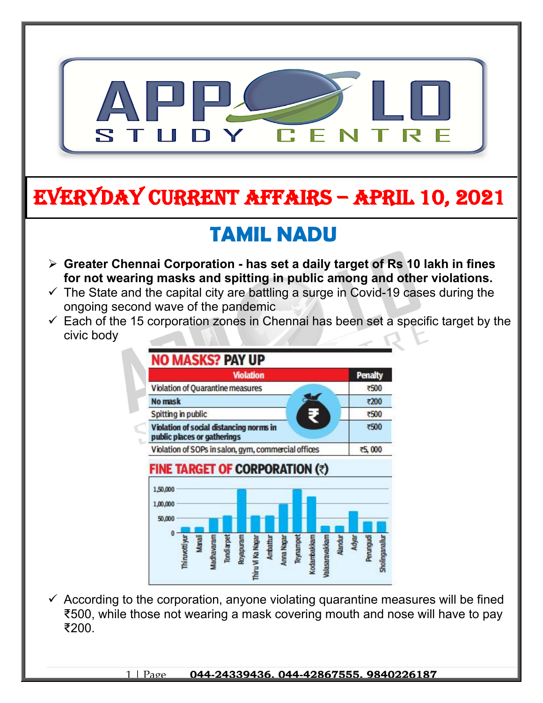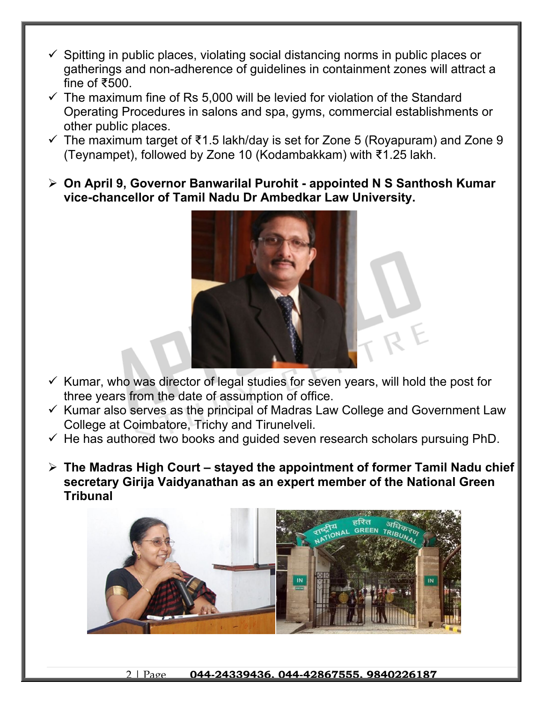- $\checkmark$  Spitting in public places, violating social distancing norms in public places or gatherings and non-adherence of guidelines in containment zones will attract a fine of ₹500.
- $\checkmark$  The maximum fine of Rs 5,000 will be levied for violation of the Standard Operating Procedures in salons and spa, gyms, commercial establishments or other public places.
- $\checkmark$  The maximum target of ₹1.5 lakh/day is set for Zone 5 (Royapuram) and Zone 9 (Teynampet), followed by Zone 10 (Kodambakkam) with ₹1.25 lakh.
- **On April 9, Governor Banwarilal Purohit appointed N S Santhosh Kumar vice-chancellor of Tamil Nadu Dr Ambedkar Law University.**



- $\checkmark$  Kumar, who was director of legal studies for seven years, will hold the post for three years from the date of assumption of office.
- $\checkmark$  Kumar also serves as the principal of Madras Law College and Government Law College at Coimbatore, Trichy and Tirunelveli.
- $\checkmark$  He has authored two books and quided seven research scholars pursuing PhD.
- **The Madras High Court stayed the appointment of former Tamil Nadu chief secretary Girija Vaidyanathan as an expert member of the National Green Tribunal**



#### 2 | Page **044-24339436, 044-42867555, 9840226187**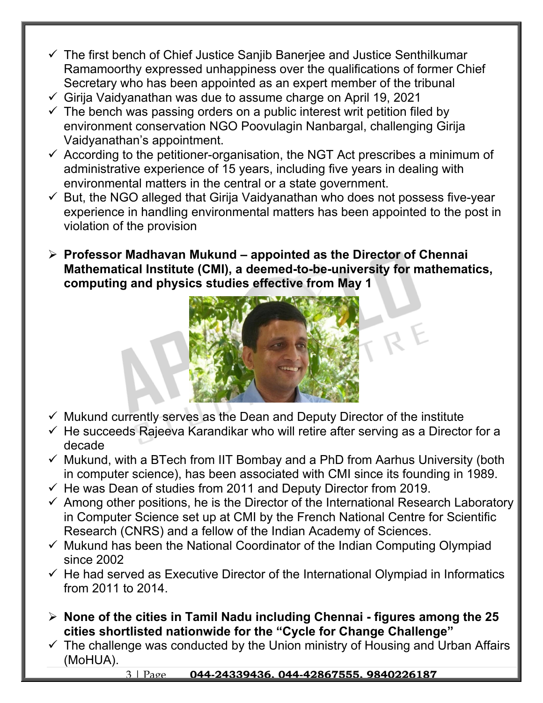- $\checkmark$  The first bench of Chief Justice Sanjib Banerjee and Justice Senthilkumar Ramamoorthy expressed unhappiness over the qualifications of former Chief Secretary who has been appointed as an expert member of the tribunal
- $\checkmark$  Girija Vaidyanathan was due to assume charge on April 19, 2021
- $\checkmark$  The bench was passing orders on a public interest writ petition filed by environment conservation NGO Poovulagin Nanbargal, challenging Girija Vaidyanathan's appointment.
- $\checkmark$  According to the petitioner-organisation, the NGT Act prescribes a minimum of administrative experience of 15 years, including five years in dealing with environmental matters in the central or a state government.
- $\checkmark$  But, the NGO alleged that Girija Vaidyanathan who does not possess five-year experience in handling environmental matters has been appointed to the post in violation of the provision
- **Professor Madhavan Mukund appointed as the Director of Chennai Mathematical Institute (CMI), a deemed-to-be-university for mathematics, computing and physics studies effective from May 1**



- $\checkmark$  Mukund currently serves as the Dean and Deputy Director of the institute
- $\checkmark$  He succeeds Rajeeva Karandikar who will retire after serving as a Director for a decade
- $\checkmark$  Mukund, with a BTech from IIT Bombay and a PhD from Aarhus University (both in computer science), has been associated with CMI since its founding in 1989.
- $\checkmark$  He was Dean of studies from 2011 and Deputy Director from 2019.
- $\checkmark$  Among other positions, he is the Director of the International Research Laboratory in Computer Science set up at CMI by the French National Centre for Scientific Research (CNRS) and a fellow of the Indian Academy of Sciences.
- $\checkmark$  Mukund has been the National Coordinator of the Indian Computing Olympiad since 2002
- $\checkmark$  He had served as Executive Director of the International Olympiad in Informatics from 2011 to 2014.
- **None of the cities in Tamil Nadu including Chennai figures among the 25 cities shortlisted nationwide for the "Cycle for Change Challenge"**
- $\checkmark$  The challenge was conducted by the Union ministry of Housing and Urban Affairs (MoHUA).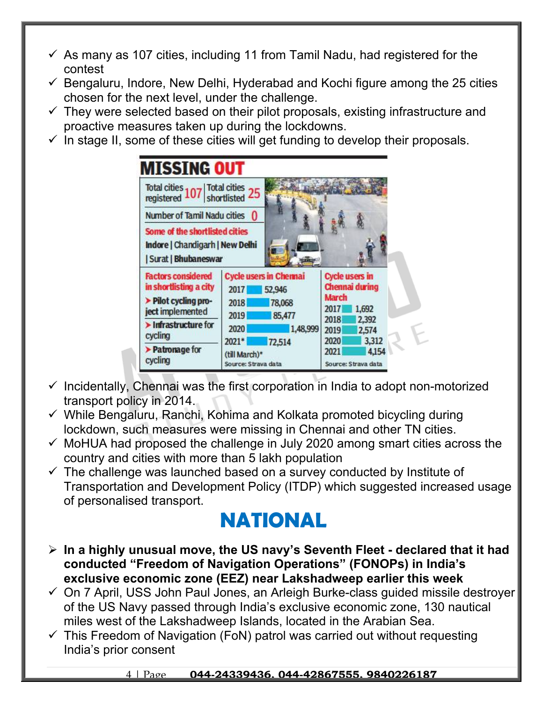- $\checkmark$  As many as 107 cities, including 11 from Tamil Nadu, had registered for the contest
- $\checkmark$  Bengaluru, Indore, New Delhi, Hyderabad and Kochi figure among the 25 cities chosen for the next level, under the challenge.
- $\checkmark$  They were selected based on their pilot proposals, existing infrastructure and proactive measures taken up during the lockdowns.
- $\checkmark$  In stage II, some of these cities will get funding to develop their proposals.

| Total cities 107 Total cities 25                                                                |                                                                   |                                                                          |
|-------------------------------------------------------------------------------------------------|-------------------------------------------------------------------|--------------------------------------------------------------------------|
| <b>Number of Tamil Nadu cities</b>                                                              |                                                                   |                                                                          |
| Some of the shortlisted cities<br>Indore   Chandigarh   New Delhi<br><b>Surat   Bhubaneswar</b> |                                                                   |                                                                          |
| <b>Factors considered</b><br>in shortlisting a city<br>> Pilot cycling pro-                     | <b>Cycle users in Chennai</b><br>52,946<br>2017<br>2018<br>78,068 | <b>Cycle users in</b><br>Chennai during<br><b>March</b><br>2017<br>1,692 |
|                                                                                                 | 2019                                                              |                                                                          |
| ject implemented<br>Infrastructure for<br>cycling                                               | 85,477<br>2020<br>1,48,999<br>$2021*$<br>72,514                   | 2018<br>2,392<br>2019<br>2,574<br>2020<br>3,312                          |

- $\checkmark$  Incidentally, Chennai was the first corporation in India to adopt non-motorized transport policy in 2014.
- $\checkmark$  While Bengaluru, Ranchi, Kohima and Kolkata promoted bicycling during lockdown, such measures were missing in Chennai and other TN cities.
- $\checkmark$  MoHUA had proposed the challenge in July 2020 among smart cities across the country and cities with more than 5 lakh population
- $\checkmark$  The challenge was launched based on a survey conducted by Institute of Transportation and Development Policy (ITDP) which suggested increased usage of personalised transport.

# **NATIONAL**

- **In a highly unusual move, the US navy's Seventh Fleet declared that it had conducted "Freedom of Navigation Operations" (FONOPs) in India's exclusive economic zone (EEZ) near Lakshadweep earlier this week**
- $\checkmark$  On 7 April, USS John Paul Jones, an Arleigh Burke-class guided missile destroyer of the US Navy passed through India's exclusive economic zone, 130 nautical miles west of the Lakshadweep Islands, located in the Arabian Sea.
- $\checkmark$  This Freedom of Navigation (FoN) patrol was carried out without requesting India's prior consent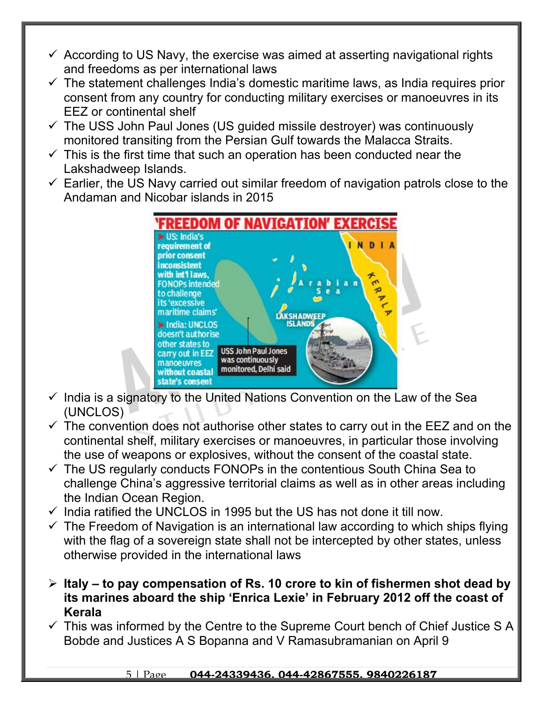- $\checkmark$  According to US Navy, the exercise was aimed at asserting navigational rights and freedoms as per international laws
- $\checkmark$  The statement challenges India's domestic maritime laws, as India requires prior consent from any country for conducting military exercises or manoeuvres in its EEZ or continental shelf
- $\checkmark$  The USS John Paul Jones (US guided missile destroyer) was continuously monitored transiting from the Persian Gulf towards the Malacca Straits.
- $\checkmark$  This is the first time that such an operation has been conducted near the Lakshadweep Islands.
- $\checkmark$  Earlier, the US Navy carried out similar freedom of navigation patrols close to the Andaman and Nicobar islands in 2015



- $\checkmark$  India is a signatory to the United Nations Convention on the Law of the Sea (UNCLOS)
- $\checkmark$  The convention does not authorise other states to carry out in the EEZ and on the continental shelf, military exercises or manoeuvres, in particular those involving the use of weapons or explosives, without the consent of the coastal state.
- $\checkmark$  The US regularly conducts FONOPs in the contentious South China Sea to challenge China's aggressive territorial claims as well as in other areas including the Indian Ocean Region.
- $\checkmark$  India ratified the UNCLOS in 1995 but the US has not done it till now.
- $\checkmark$  The Freedom of Navigation is an international law according to which ships flying with the flag of a sovereign state shall not be intercepted by other states, unless otherwise provided in the international laws
- **Italy to pay compensation of Rs. 10 crore to kin of fishermen shot dead by its marines aboard the ship 'Enrica Lexie' in February 2012 off the coast of Kerala**
- $\checkmark$  This was informed by the Centre to the Supreme Court bench of Chief Justice S A Bobde and Justices A S Bopanna and V Ramasubramanian on April 9

### 5 | Page **044-24339436, 044-42867555, 9840226187**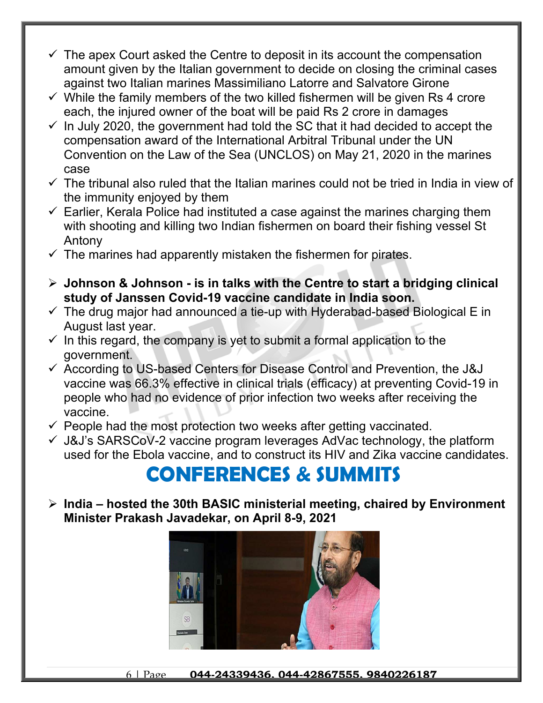- $\checkmark$  The apex Court asked the Centre to deposit in its account the compensation amount given by the Italian government to decide on closing the criminal cases against two Italian marines Massimiliano Latorre and Salvatore Girone
- $\checkmark$  While the family members of the two killed fishermen will be given Rs 4 crore each, the injured owner of the boat will be paid Rs 2 crore in damages
- $\checkmark$  In July 2020, the government had told the SC that it had decided to accept the compensation award of the International Arbitral Tribunal under the UN Convention on the Law of the Sea (UNCLOS) on May 21, 2020 in the marines case
- $\checkmark$  The tribunal also ruled that the Italian marines could not be tried in India in view of the immunity enjoyed by them
- $\checkmark$  Earlier, Kerala Police had instituted a case against the marines charging them with shooting and killing two Indian fishermen on board their fishing vessel St Antony
- $\checkmark$  The marines had apparently mistaken the fishermen for pirates.
- **Johnson & Johnson is in talks with the Centre to start a bridging clinical study of Janssen Covid-19 vaccine candidate in India soon.**
- $\checkmark$  The drug major had announced a tie-up with Hyderabad-based Biological E in August last year.
- $\checkmark$  In this regard, the company is yet to submit a formal application to the government.
- $\checkmark$  According to US-based Centers for Disease Control and Prevention, the J&J vaccine was 66.3% effective in clinical trials (efficacy) at preventing Covid-19 in people who had no evidence of prior infection two weeks after receiving the vaccine.
- $\checkmark$  People had the most protection two weeks after getting vaccinated.
- $\checkmark$  J&J's SARSCoV-2 vaccine program leverages AdVac technology, the platform used for the Ebola vaccine, and to construct its HIV and Zika vaccine candidates.

# **CONFERENCES & SUMMITS**

 **India – hosted the 30th BASIC ministerial meeting, chaired by Environment Minister Prakash Javadekar, on April 8-9, 2021**

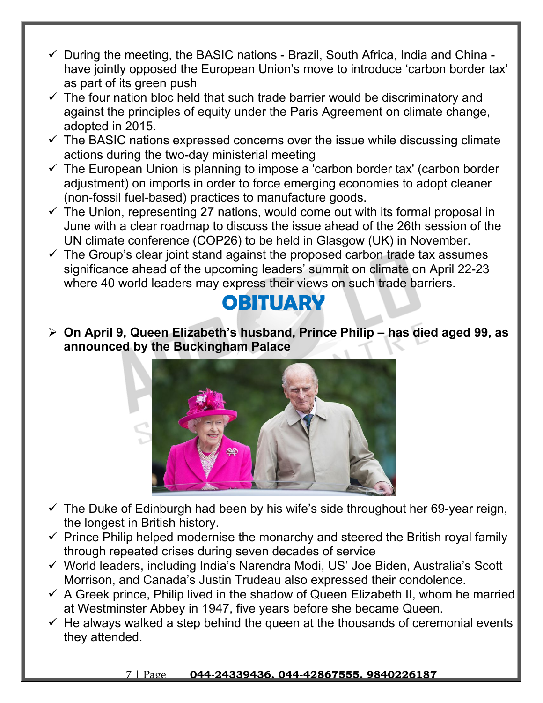- $\checkmark$  During the meeting, the BASIC nations Brazil, South Africa, India and China have jointly opposed the European Union's move to introduce 'carbon border tax' as part of its green push
- $\checkmark$  The four nation bloc held that such trade barrier would be discriminatory and against the principles of equity under the Paris Agreement on climate change, adopted in 2015.
- $\checkmark$  The BASIC nations expressed concerns over the issue while discussing climate actions during the two-day ministerial meeting
- $\checkmark$  The European Union is planning to impose a carbon border tax' (carbon border adjustment) on imports in order to force emerging economies to adopt cleaner (non-fossil fuel-based) practices to manufacture goods.
- $\checkmark$  The Union, representing 27 nations, would come out with its formal proposal in June with a clear roadmap to discuss the issue ahead of the 26th session of the UN climate conference (COP26) to be held in Glasgow (UK) in November.
- $\checkmark$  The Group's clear joint stand against the proposed carbon trade tax assumes significance ahead of the upcoming leaders' summit on climate on April 22-23 where 40 world leaders may express their views on such trade barriers.

### **OBITUARY**

 **On April 9, Queen Elizabeth's husband, Prince Philip – has died aged 99, as announced by the Buckingham Palace**



- $\checkmark$  The Duke of Edinburgh had been by his wife's side throughout her 69-year reign, the longest in British history.
- $\checkmark$  Prince Philip helped modernise the monarchy and steered the British royal family through repeated crises during seven decades of service
- World leaders, including India's Narendra Modi, US' Joe Biden, Australia's Scott Morrison, and Canada's Justin Trudeau also expressed their condolence.
- $\checkmark$  A Greek prince, Philip lived in the shadow of Queen Elizabeth II, whom he married at Westminster Abbey in 1947, five years before she became Queen.
- $\checkmark$  He always walked a step behind the queen at the thousands of ceremonial events they attended.

### 7 | Page **044-24339436, 044-42867555, 9840226187**